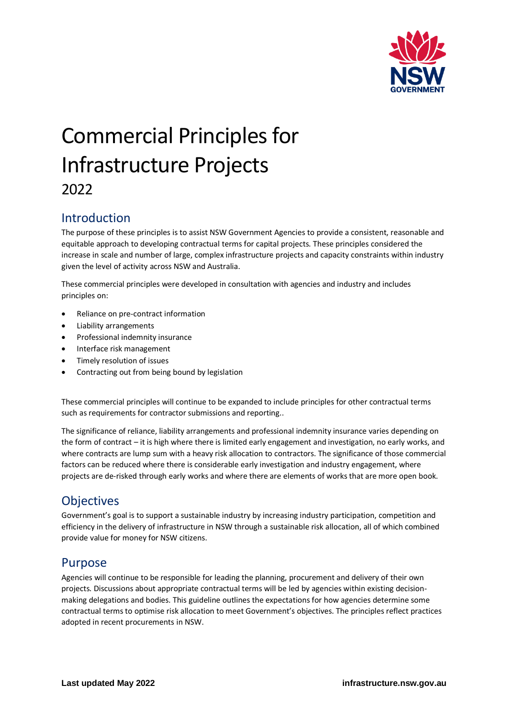

# Commercial Principles for Infrastructure Projects 2022

### Introduction

The purpose of these principles is to assist NSW Government Agencies to provide a consistent, reasonable and equitable approach to developing contractual terms for capital projects. These principles considered the increase in scale and number of large, complex infrastructure projects and capacity constraints within industry given the level of activity across NSW and Australia.

These commercial principles were developed in consultation with agencies and industry and includes principles on:

- Reliance on pre-contract information
- Liability arrangements
- Professional indemnity insurance
- Interface risk management
- Timely resolution of issues
- Contracting out from being bound by legislation

These commercial principles will continue to be expanded to include principles for other contractual terms such as requirements for contractor submissions and reporting..

The significance of reliance, liability arrangements and professional indemnity insurance varies depending on the form of contract – it is high where there is limited early engagement and investigation, no early works, and where contracts are lump sum with a heavy risk allocation to contractors. The significance of those commercial factors can be reduced where there is considerable early investigation and industry engagement, where projects are de-risked through early works and where there are elements of works that are more open book.

### **Objectives**

Government's goal is to support a sustainable industry by increasing industry participation, competition and efficiency in the delivery of infrastructure in NSW through a sustainable risk allocation, all of which combined provide value for money for NSW citizens.

### Purpose

Agencies will continue to be responsible for leading the planning, procurement and delivery of their own projects. Discussions about appropriate contractual terms will be led by agencies within existing decisionmaking delegations and bodies. This guideline outlines the expectations for how agencies determine some contractual terms to optimise risk allocation to meet Government's objectives. The principles reflect practices adopted in recent procurements in NSW.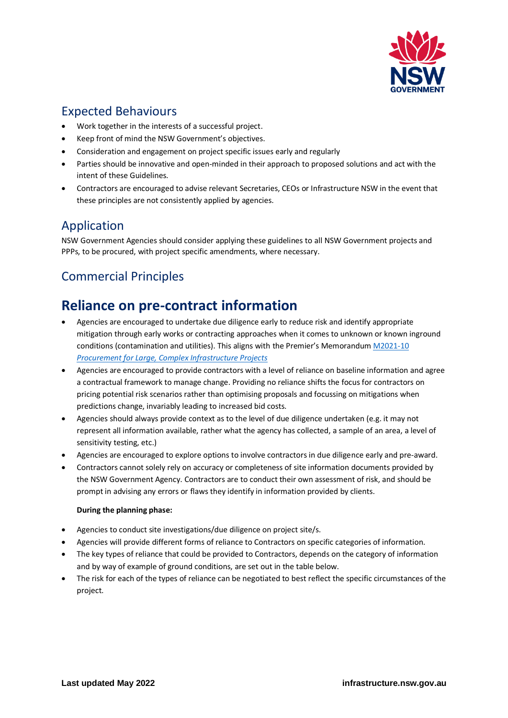

### Expected Behaviours

- Work together in the interests of a successful project.
- Keep front of mind the NSW Government's objectives.
- Consideration and engagement on project specific issues early and regularly
- Parties should be innovative and open-minded in their approach to proposed solutions and act with the intent of these Guidelines.
- Contractors are encouraged to advise relevant Secretaries, CEOs or Infrastructure NSW in the event that these principles are not consistently applied by agencies.

### Application

NSW Government Agencies should consider applying these guidelines to all NSW Government projects and PPPs, to be procured, with project specific amendments, where necessary.

# Commercial Principles

# **Reliance on pre-contract information**

- Agencies are encouraged to undertake due diligence early to reduce risk and identify appropriate mitigation through early works or contracting approaches when it comes to unknown or known inground conditions (contamination and utilities). This aligns with the Premier's Memorandum [M2021-10](https://arp.nsw.gov.au/m2021-10-procurement-for-large-complex-infrastructure-projects/)  *[Procurement for Large, Complex Infrastructure Projects](https://arp.nsw.gov.au/m2021-10-procurement-for-large-complex-infrastructure-projects/)*
- Agencies are encouraged to provide contractors with a level of reliance on baseline information and agree a contractual framework to manage change. Providing no reliance shifts the focus for contractors on pricing potential risk scenarios rather than optimising proposals and focussing on mitigations when predictions change, invariably leading to increased bid costs.
- Agencies should always provide context as to the level of due diligence undertaken (e.g. it may not represent all information available, rather what the agency has collected, a sample of an area, a level of sensitivity testing, etc.)
- Agencies are encouraged to explore options to involve contractors in due diligence early and pre-award.
- Contractors cannot solely rely on accuracy or completeness of site information documents provided by the NSW Government Agency. Contractors are to conduct their own assessment of risk, and should be prompt in advising any errors or flaws they identify in information provided by clients.

#### **During the planning phase:**

- Agencies to conduct site investigations/due diligence on project site/s.
- Agencies will provide different forms of reliance to Contractors on specific categories of information.
- The key types of reliance that could be provided to Contractors, depends on the category of information and by way of example of ground conditions, are set out in the table below.
- The risk for each of the types of reliance can be negotiated to best reflect the specific circumstances of the project.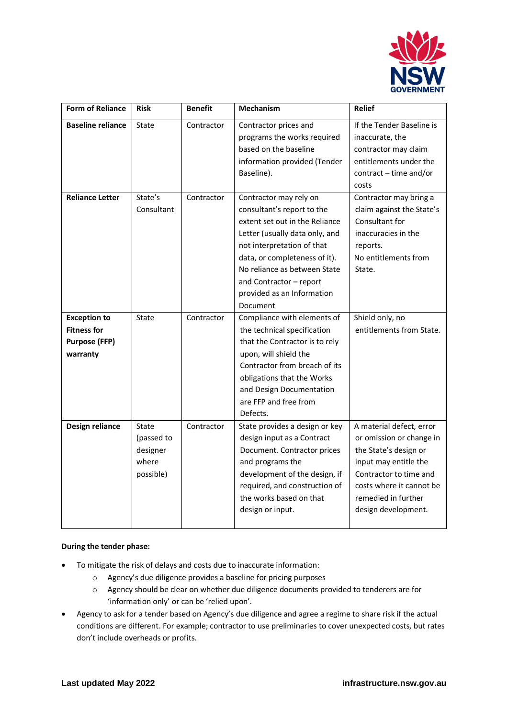

| <b>Form of Reliance</b>                                                   | <b>Risk</b>                                           | <b>Benefit</b>                         | <b>Mechanism</b>                                                                                                                                                                                                                                                                                                                                                                                                                                           | <b>Relief</b>                                                                                                                                                                                                                                                                                      |
|---------------------------------------------------------------------------|-------------------------------------------------------|----------------------------------------|------------------------------------------------------------------------------------------------------------------------------------------------------------------------------------------------------------------------------------------------------------------------------------------------------------------------------------------------------------------------------------------------------------------------------------------------------------|----------------------------------------------------------------------------------------------------------------------------------------------------------------------------------------------------------------------------------------------------------------------------------------------------|
| <b>Baseline reliance</b><br><b>Reliance Letter</b><br><b>Exception to</b> | State<br>State's<br>Consultant<br>State               | Contractor<br>Contractor<br>Contractor | Contractor prices and<br>programs the works required<br>based on the baseline<br>information provided (Tender<br>Baseline).<br>Contractor may rely on<br>consultant's report to the<br>extent set out in the Reliance<br>Letter (usually data only, and<br>not interpretation of that<br>data, or completeness of it).<br>No reliance as between State<br>and Contractor - report<br>provided as an Information<br>Document<br>Compliance with elements of | If the Tender Baseline is<br>inaccurate, the<br>contractor may claim<br>entitlements under the<br>contract - time and/or<br>costs<br>Contractor may bring a<br>claim against the State's<br>Consultant for<br>inaccuracies in the<br>reports.<br>No entitlements from<br>State.<br>Shield only, no |
| <b>Fitness for</b><br><b>Purpose (FFP)</b><br>warranty                    |                                                       |                                        | the technical specification<br>that the Contractor is to rely<br>upon, will shield the<br>Contractor from breach of its<br>obligations that the Works<br>and Design Documentation<br>are FFP and free from<br>Defects.                                                                                                                                                                                                                                     | entitlements from State.                                                                                                                                                                                                                                                                           |
| Design reliance                                                           | State<br>(passed to<br>designer<br>where<br>possible) | Contractor                             | State provides a design or key<br>design input as a Contract<br>Document. Contractor prices<br>and programs the<br>development of the design, if<br>required, and construction of<br>the works based on that<br>design or input.                                                                                                                                                                                                                           | A material defect, error<br>or omission or change in<br>the State's design or<br>input may entitle the<br>Contractor to time and<br>costs where it cannot be<br>remedied in further<br>design development.                                                                                         |

#### **During the tender phase:**

- To mitigate the risk of delays and costs due to inaccurate information:
	- o Agency's due diligence provides a baseline for pricing purposes
	- o Agency should be clear on whether due diligence documents provided to tenderers are for 'information only' or can be 'relied upon'.
- Agency to ask for a tender based on Agency's due diligence and agree a regime to share risk if the actual conditions are different. For example; contractor to use preliminaries to cover unexpected costs, but rates don't include overheads or profits.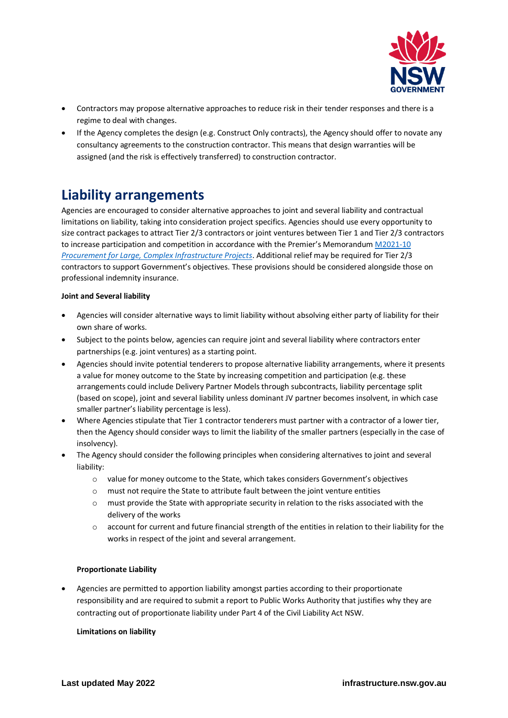

- Contractors may propose alternative approaches to reduce risk in their tender responses and there is a regime to deal with changes.
- If the Agency completes the design (e.g. Construct Only contracts), the Agency should offer to novate any consultancy agreements to the construction contractor. This means that design warranties will be assigned (and the risk is effectively transferred) to construction contractor.

# **Liability arrangements**

Agencies are encouraged to consider alternative approaches to joint and several liability and contractual limitations on liability, taking into consideration project specifics. Agencies should use every opportunity to size contract packages to attract Tier 2/3 contractors or joint ventures between Tier 1 and Tier 2/3 contractors to increase participation and competition in accordance with the Premier's Memorandum M2021-10 *[Procurement for Large, Complex Infrastructure Projects](https://arp.nsw.gov.au/m2021-10-procurement-for-large-complex-infrastructure-projects/)*. Additional relief may be required for Tier 2/3 contractors to support Government's objectives. These provisions should be considered alongside those on professional indemnity insurance.

#### **Joint and Several liability**

- Agencies will consider alternative ways to limit liability without absolving either party of liability for their own share of works.
- Subject to the points below, agencies can require joint and several liability where contractors enter partnerships (e.g. joint ventures) as a starting point.
- Agencies should invite potential tenderers to propose alternative liability arrangements, where it presents a value for money outcome to the State by increasing competition and participation (e.g. these arrangements could include Delivery Partner Models through subcontracts, liability percentage split (based on scope), joint and several liability unless dominant JV partner becomes insolvent, in which case smaller partner's liability percentage is less).
- Where Agencies stipulate that Tier 1 contractor tenderers must partner with a contractor of a lower tier, then the Agency should consider ways to limit the liability of the smaller partners (especially in the case of insolvency).
- The Agency should consider the following principles when considering alternatives to joint and several liability:
	- o value for money outcome to the State, which takes considers Government's objectives
	- o must not require the State to attribute fault between the joint venture entities
	- $\circ$  must provide the State with appropriate security in relation to the risks associated with the delivery of the works
	- o account for current and future financial strength of the entities in relation to their liability for the works in respect of the joint and several arrangement.

#### **Proportionate Liability**

• Agencies are permitted to apportion liability amongst parties according to their proportionate responsibility and are required to submit a report to Public Works Authority that justifies why they are contracting out of proportionate liability under Part 4 of the Civil Liability Act NSW.

#### **Limitations on liability**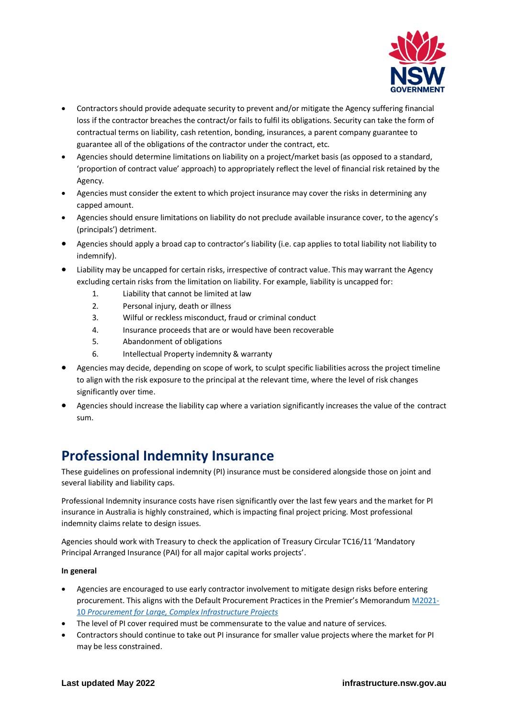

- Contractors should provide adequate security to prevent and/or mitigate the Agency suffering financial loss if the contractor breaches the contract/or fails to fulfil its obligations. Security can take the form of contractual terms on liability, cash retention, bonding, insurances, a parent company guarantee to guarantee all of the obligations of the contractor under the contract, etc.
- Agencies should determine limitations on liability on a project/market basis (as opposed to a standard, 'proportion of contract value' approach) to appropriately reflect the level of financial risk retained by the Agency.
- Agencies must consider the extent to which project insurance may cover the risks in determining any capped amount.
- Agencies should ensure limitations on liability do not preclude available insurance cover, to the agency's (principals') detriment.
- Agencies should apply a broad cap to contractor's liability (i.e. cap applies to total liability not liability to indemnify).
- Liability may be uncapped for certain risks, irrespective of contract value. This may warrant the Agency excluding certain risks from the limitation on liability. For example, liability is uncapped for:
	- 1. Liability that cannot be limited at law
	- 2. Personal injury, death or illness
	- 3. Wilful or reckless misconduct, fraud or criminal conduct
	- 4. Insurance proceeds that are or would have been recoverable
	- 5. Abandonment of obligations
	- 6. Intellectual Property indemnity & warranty
- Agencies may decide, depending on scope of work, to sculpt specific liabilities across the project timeline to align with the risk exposure to the principal at the relevant time, where the level of risk changes significantly over time.
- Agencies should increase the liability cap where a variation significantly increases the value of the contract sum.

### **Professional Indemnity Insurance**

These guidelines on professional indemnity (PI) insurance must be considered alongside those on joint and several liability and liability caps.

Professional Indemnity insurance costs have risen significantly over the last few years and the market for PI insurance in Australia is highly constrained, which is impacting final project pricing. Most professional indemnity claims relate to design issues.

Agencies should work with Treasury to check the application of Treasury Circular TC16/11 'Mandatory Principal Arranged Insurance (PAI) for all major capital works projects'.

#### **In general**

- Agencies are encouraged to use early contractor involvement to mitigate design risks before entering procurement. This aligns with the Default Procurement Practices in the Premier's Memorandum [M2021-](https://arp.nsw.gov.au/m2021-10-procurement-for-large-complex-infrastructure-projects/) 10 *[Procurement for Large, Complex Infrastructure Projects](https://arp.nsw.gov.au/m2021-10-procurement-for-large-complex-infrastructure-projects/)*
- The level of PI cover required must be commensurate to the value and nature of services.
- Contractors should continue to take out PI insurance for smaller value projects where the market for PI may be less constrained.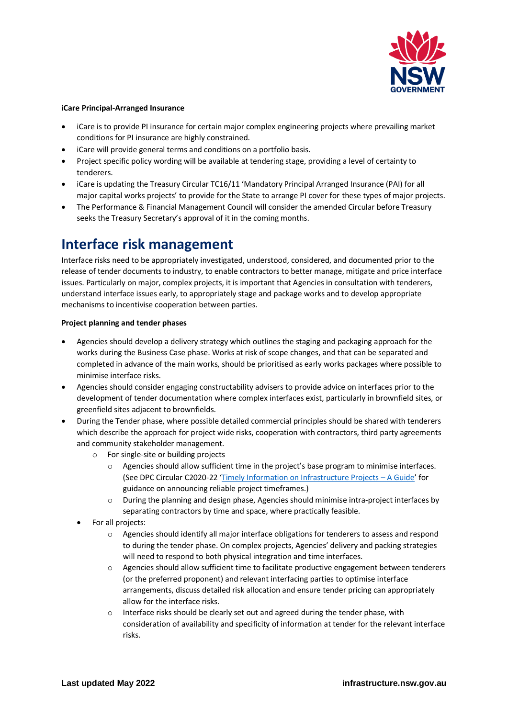

#### **iCare Principal-Arranged Insurance**

- iCare is to provide PI insurance for certain major complex engineering projects where prevailing market conditions for PI insurance are highly constrained.
- iCare will provide general terms and conditions on a portfolio basis.
- Project specific policy wording will be available at tendering stage, providing a level of certainty to tenderers.
- iCare is updating the Treasury Circular TC16/11 'Mandatory Principal Arranged Insurance (PAI) for all major capital works projects' to provide for the State to arrange PI cover for these types of major projects.
- The Performance & Financial Management Council will consider the amended Circular before Treasury seeks the Treasury Secretary's approval of it in the coming months.

### **Interface risk management**

Interface risks need to be appropriately investigated, understood, considered, and documented prior to the release of tender documents to industry, to enable contractors to better manage, mitigate and price interface issues. Particularly on major, complex projects, it is important that Agencies in consultation with tenderers, understand interface issues early, to appropriately stage and package works and to develop appropriate mechanisms to incentivise cooperation between parties.

#### **Project planning and tender phases**

- Agencies should develop a delivery strategy which outlines the staging and packaging approach for the works during the Business Case phase. Works at risk of scope changes, and that can be separated and completed in advance of the main works, should be prioritised as early works packages where possible to minimise interface risks.
- Agencies should consider engaging constructability advisers to provide advice on interfaces prior to the development of tender documentation where complex interfaces exist, particularly in brownfield sites, or greenfield sites adjacent to brownfields.
- During the Tender phase, where possible detailed commercial principles should be shared with tenderers which describe the approach for project wide risks, cooperation with contractors, third party agreements and community stakeholder management.
	- o For single-site or building projects
		- o Agencies should allow sufficient time in the project's base program to minimise interfaces. (See DPC Circular C2020-22 '[Timely Information on Infrastructure Projects](https://www.infrastructure.nsw.gov.au/expert-advice/timely-information-on-infrastructure-projects/) – A Guide' for guidance on announcing reliable project timeframes.)
		- o During the planning and design phase, Agencies should minimise intra-project interfaces by separating contractors by time and space, where practically feasible.
	- For all projects:
		- o Agencies should identify all major interface obligations for tenderers to assess and respond to during the tender phase. On complex projects, Agencies' delivery and packing strategies will need to respond to both physical integration and time interfaces.
		- o Agencies should allow sufficient time to facilitate productive engagement between tenderers (or the preferred proponent) and relevant interfacing parties to optimise interface arrangements, discuss detailed risk allocation and ensure tender pricing can appropriately allow for the interface risks.
		- o Interface risks should be clearly set out and agreed during the tender phase, with consideration of availability and specificity of information at tender for the relevant interface risks.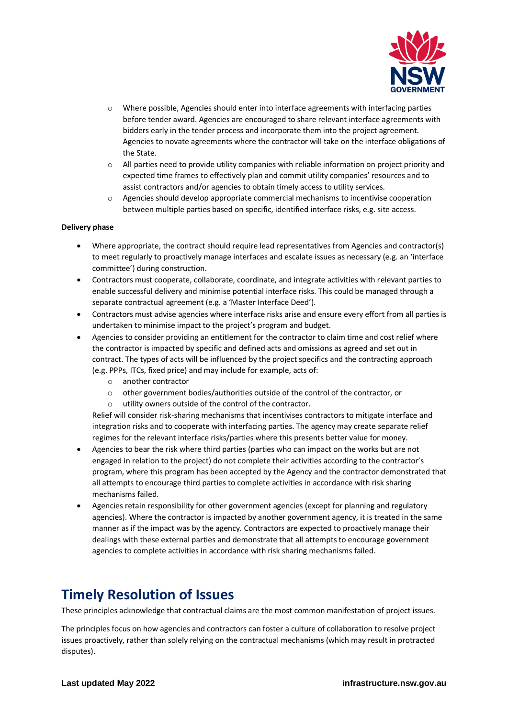

- o Where possible, Agencies should enter into interface agreements with interfacing parties before tender award. Agencies are encouraged to share relevant interface agreements with bidders early in the tender process and incorporate them into the project agreement. Agencies to novate agreements where the contractor will take on the interface obligations of the State.
- $\circ$  All parties need to provide utility companies with reliable information on project priority and expected time frames to effectively plan and commit utility companies' resources and to assist contractors and/or agencies to obtain timely access to utility services.
- o Agencies should develop appropriate commercial mechanisms to incentivise cooperation between multiple parties based on specific, identified interface risks, e.g. site access.

#### **Delivery phase**

- Where appropriate, the contract should require lead representatives from Agencies and contractor(s) to meet regularly to proactively manage interfaces and escalate issues as necessary (e.g. an 'interface committee') during construction.
- Contractors must cooperate, collaborate, coordinate, and integrate activities with relevant parties to enable successful delivery and minimise potential interface risks. This could be managed through a separate contractual agreement (e.g. a 'Master Interface Deed').
- Contractors must advise agencies where interface risks arise and ensure every effort from all parties is undertaken to minimise impact to the project's program and budget.
- Agencies to consider providing an entitlement for the contractor to claim time and cost relief where the contractor is impacted by specific and defined acts and omissions as agreed and set out in contract. The types of acts will be influenced by the project specifics and the contracting approach (e.g. PPPs, ITCs, fixed price) and may include for example, acts of:
	- o another contractor
	- o other government bodies/authorities outside of the control of the contractor, or
	- o utility owners outside of the control of the contractor.

Relief will consider risk-sharing mechanisms that incentivises contractors to mitigate interface and integration risks and to cooperate with interfacing parties. The agency may create separate relief regimes for the relevant interface risks/parties where this presents better value for money.

- Agencies to bear the risk where third parties (parties who can impact on the works but are not engaged in relation to the project) do not complete their activities according to the contractor's program, where this program has been accepted by the Agency and the contractor demonstrated that all attempts to encourage third parties to complete activities in accordance with risk sharing mechanisms failed.
- Agencies retain responsibility for other government agencies (except for planning and regulatory agencies). Where the contractor is impacted by another government agency, it is treated in the same manner as if the impact was by the agency. Contractors are expected to proactively manage their dealings with these external parties and demonstrate that all attempts to encourage government agencies to complete activities in accordance with risk sharing mechanisms failed.

### **Timely Resolution of Issues**

These principles acknowledge that contractual claims are the most common manifestation of project issues.

The principles focus on how agencies and contractors can foster a culture of collaboration to resolve project issues proactively, rather than solely relying on the contractual mechanisms (which may result in protracted disputes).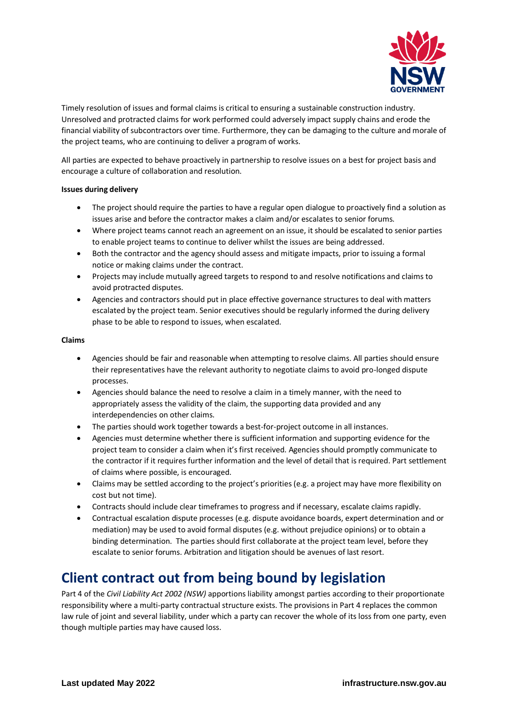

Timely resolution of issues and formal claims is critical to ensuring a sustainable construction industry. Unresolved and protracted claims for work performed could adversely impact supply chains and erode the financial viability of subcontractors over time. Furthermore, they can be damaging to the culture and morale of the project teams, who are continuing to deliver a program of works.

All parties are expected to behave proactively in partnership to resolve issues on a best for project basis and encourage a culture of collaboration and resolution.

#### **Issues during delivery**

- The project should require the parties to have a regular open dialogue to proactively find a solution as issues arise and before the contractor makes a claim and/or escalates to senior forums.
- Where project teams cannot reach an agreement on an issue, it should be escalated to senior parties to enable project teams to continue to deliver whilst the issues are being addressed.
- Both the contractor and the agency should assess and mitigate impacts, prior to issuing a formal notice or making claims under the contract.
- Projects may include mutually agreed targets to respond to and resolve notifications and claims to avoid protracted disputes.
- Agencies and contractors should put in place effective governance structures to deal with matters escalated by the project team. Senior executives should be regularly informed the during delivery phase to be able to respond to issues, when escalated.

#### **Claims**

- Agencies should be fair and reasonable when attempting to resolve claims. All parties should ensure their representatives have the relevant authority to negotiate claims to avoid pro-longed dispute processes.
- Agencies should balance the need to resolve a claim in a timely manner, with the need to appropriately assess the validity of the claim, the supporting data provided and any interdependencies on other claims.
- The parties should work together towards a best-for-project outcome in all instances.
- Agencies must determine whether there is sufficient information and supporting evidence for the project team to consider a claim when it's first received. Agencies should promptly communicate to the contractor if it requires further information and the level of detail that is required. Part settlement of claims where possible, is encouraged.
- Claims may be settled according to the project's priorities (e.g. a project may have more flexibility on cost but not time).
- Contracts should include clear timeframes to progress and if necessary, escalate claims rapidly.
- Contractual escalation dispute processes (e.g. dispute avoidance boards, expert determination and or mediation) may be used to avoid formal disputes (e.g. without prejudice opinions) or to obtain a binding determination. The parties should first collaborate at the project team level, before they escalate to senior forums. Arbitration and litigation should be avenues of last resort.

# **Client contract out from being bound by legislation**

Part 4 of the *Civil Liability Act 2002 (NSW)* apportions liability amongst parties according to their proportionate responsibility where a multi-party contractual structure exists. The provisions in Part 4 replaces the common law rule of joint and several liability, under which a party can recover the whole of its loss from one party, even though multiple parties may have caused loss.